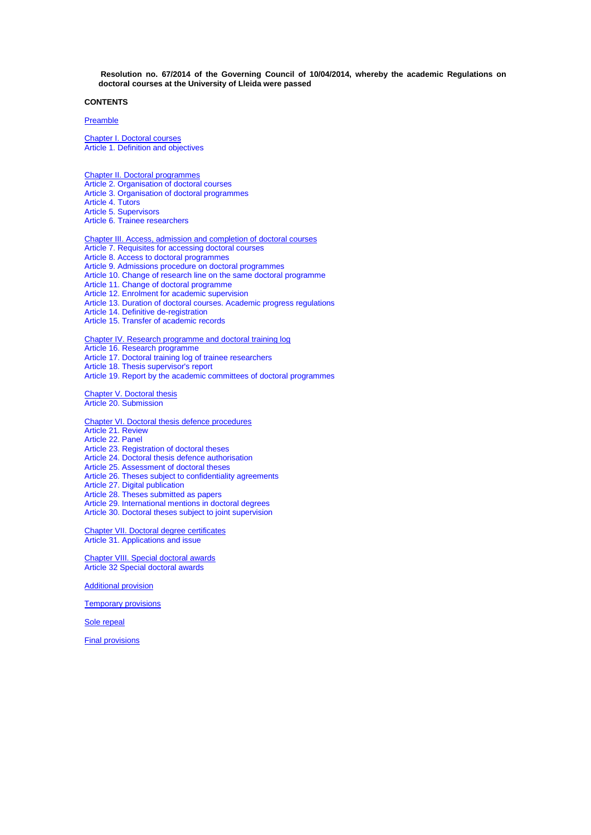**Resolution no. 67/2014 of the Governing Council of 10/04/2014, whereby the academic Regulations on doctoral courses at the University of Lleida were passed**

# **CONTENTS**

# [Preamble](#page-1-0)

[Chapter I. Doctoral courses](#page-1-1) [Article 1. Definition and objectives](#page-1-2)

[Chapter II. Doctoral programmes](#page-1-3) [Article 2. Organisation of doctoral courses](#page-1-4) Article 3. [Organisation of doctoral programmes](#page-1-5) [Article 4. Tutors](#page-2-0) [Article 5. Supervisors](#page-2-1) [Article 6. Trainee researchers](#page-2-2)

[Chapter III. Access, admission and completion of doctoral courses](#page-2-3) [Article 7. Requisites for accessing doctoral courses](#page-2-4) [Article 8. Access to doctoral programmes](#page-3-0) [Article 9. Admissions procedure on doctoral programmes](#page-3-1) [Article 10. Change of research line o](#page-4-0)n the same doctoral programme [Article 11. Change of doctoral programme](#page-4-1) [Article 12. Enrolment for academic supervision](#page-4-2) [Article 13. Duration of doctoral courses.](#page-5-0) Academic progress regulations [Article 14. Definitive de-registration](#page-5-1) [Article 15. Transfer of academic records](#page-6-0) [Chapter IV. Research programme and doctoral training log](#page-6-1)

[Article 16. Research programme](#page-6-2)

[Article 17. Doctoral training log of trainee researchers](#page-6-3)

[Article 18. Thesis supervisor's report](#page-7-0)

[Article 19. Report by the academic committees of](#page-7-1) doctoral programmes

[Chapter V. Doctoral thesis](#page-7-2) [Article 20. Submission](#page-7-3)

[Chapter VI. Doctoral thesis defence procedures](#page-8-0) [Article 21. Review](#page-8-1) [Article 22. Panel](#page-8-2) [Article 23. Registration of doctoral theses](#page-8-3) [Article 24. Doctoral thesis defence authorisation](#page-9-0) [Article 25. Assessment of doctoral theses](#page-9-1) [Article 26. Theses subject to confidentiality agreements](#page-9-2) [Article 27. Digital publication](#page-10-0) [Article 28. Theses submitted as papers](#page-10-1) [Article 29. International mentions](#page-10-2) in doctoral degrees [Article 30. Doctoral theses subject to joint supervision](#page-11-0)

[Chapter VII. Doctoral degree certificates](#page-11-1) [Article 31. Applications](#page-11-2) and issue

[Chapter VIII. Special doctoral awards](#page-11-3) [Article 32 Special doctoral awards](#page-11-4)

[Additional provision](#page-12-0)

[Temporary provisions](#page-12-1)

[Sole repeal](#page-12-2)

[Final provisions](#page-12-3)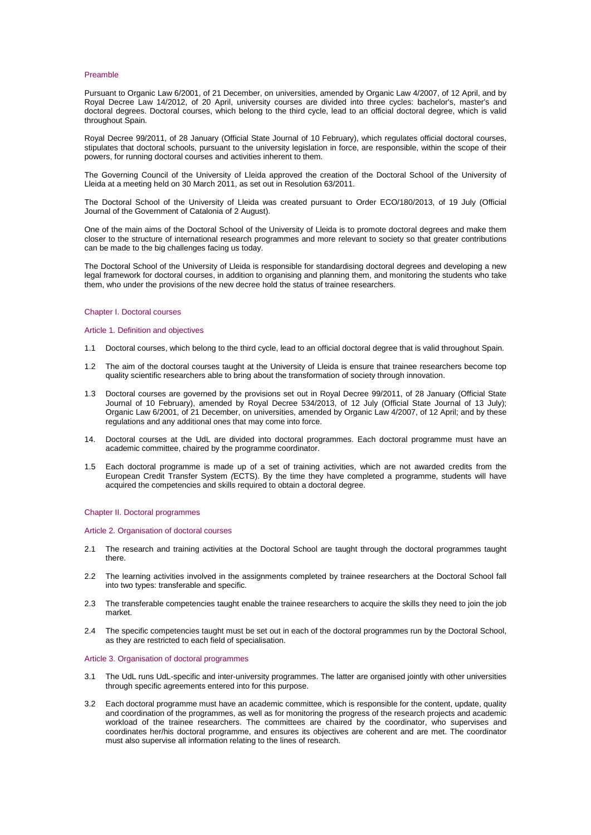#### <span id="page-1-0"></span>Preamble

Pursuant to Organic Law 6/2001, of 21 December, on universities, amended by Organic Law 4/2007, of 12 April, and by Royal Decree Law 14/2012, of 20 April, university courses are divided into three cycles: bachelor's, master's and doctoral degrees. Doctoral courses, which belong to the third cycle, lead to an official doctoral degree, which is valid throughout Spain.

Royal Decree 99/2011, of 28 January (Official State Journal of 10 February), which regulates official doctoral courses, stipulates that doctoral schools, pursuant to the university legislation in force, are responsible, within the scope of their powers, for running doctoral courses and activities inherent to them.

The Governing Council of the University of Lleida approved the creation of the Doctoral School of the University of Lleida at a meeting held on 30 March 2011, as set out in Resolution 63/2011.

The Doctoral School of the University of Lleida was created pursuant to Order ECO/180/2013, of 19 July (Official Journal of the Government of Catalonia of 2 August).

One of the main aims of the Doctoral School of the University of Lleida is to promote doctoral degrees and make them closer to the structure of international research programmes and more relevant to society so that greater contributions can be made to the big challenges facing us today.

The Doctoral School of the University of Lleida is responsible for standardising doctoral degrees and developing a new legal framework for doctoral courses, in addition to organising and planning them, and monitoring the students who take them, who under the provisions of the new decree hold the status of trainee researchers.

### <span id="page-1-1"></span>Chapter I. Doctoral courses

### <span id="page-1-2"></span>Article 1. Definition and objectives

- 1.1 Doctoral courses, which belong to the third cycle, lead to an official doctoral degree that is valid throughout Spain.
- 1.2 The aim of the doctoral courses taught at the University of Lleida is ensure that trainee researchers become top quality scientific researchers able to bring about the transformation of society through innovation.
- 1.3 Doctoral courses are governed by the provisions set out in Royal Decree 99/2011, of 28 January (Official State Journal of 10 February), amended by Royal Decree 534/2013, of 12 July (Official State Journal of 13 July); Organic Law 6/2001, of 21 December, on universities, amended by Organic Law 4/2007, of 12 April; and by these regulations and any additional ones that may come into force.
- 14. Doctoral courses at the UdL are divided into doctoral programmes. Each doctoral programme must have an academic committee, chaired by the programme coordinator.
- 1.5 Each doctoral programme is made up of a set of training activities, which are not awarded credits from the European Credit Transfer System *(*ECTS). By the time they have completed a programme, students will have acquired the competencies and skills required to obtain a doctoral degree.

#### <span id="page-1-3"></span>Chapter II. Doctoral programmes

<span id="page-1-4"></span>Article 2. Organisation of doctoral courses

- 2.1 The research and training activities at the Doctoral School are taught through the doctoral programmes taught there.
- 2.2 The learning activities involved in the assignments completed by trainee researchers at the Doctoral School fall into two types: transferable and specific.
- 2.3 The transferable competencies taught enable the trainee researchers to acquire the skills they need to join the job market.
- 2.4 The specific competencies taught must be set out in each of the doctoral programmes run by the Doctoral School, as they are restricted to each field of specialisation.

## <span id="page-1-5"></span>Article 3. Organisation of doctoral programmes

- 3.1 The UdL runs UdL-specific and inter-university programmes. The latter are organised jointly with other universities through specific agreements entered into for this purpose.
- 3.2 Each doctoral programme must have an academic committee, which is responsible for the content, update, quality and coordination of the programmes, as well as for monitoring the progress of the research projects and academic workload of the trainee researchers. The committees are chaired by the coordinator, who supervises and coordinates her/his doctoral programme, and ensures its objectives are coherent and are met. The coordinator must also supervise all information relating to the lines of research.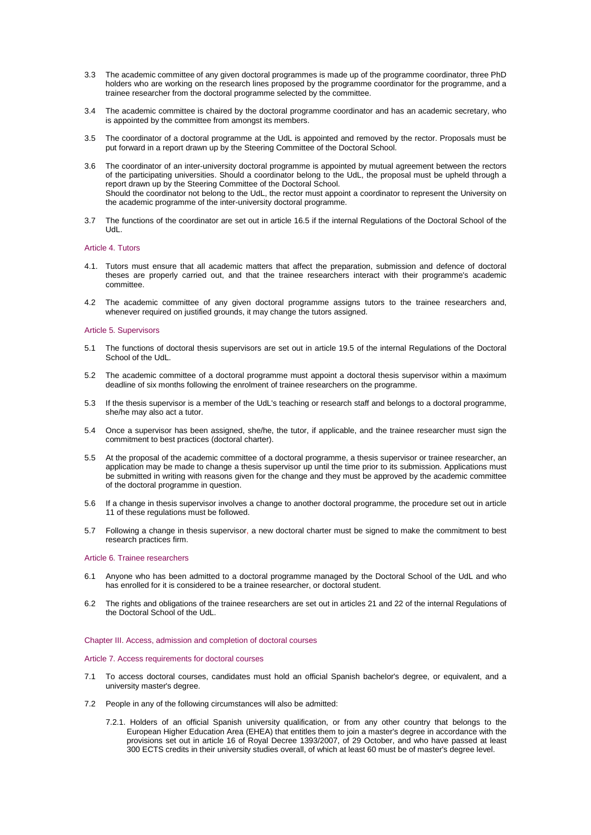- 3.3 The academic committee of any given doctoral programmes is made up of the programme coordinator, three PhD holders who are working on the research lines proposed by the programme coordinator for the programme, and a trainee researcher from the doctoral programme selected by the committee.
- 3.4 The academic committee is chaired by the doctoral programme coordinator and has an academic secretary, who is appointed by the committee from amongst its members.
- 3.5 The coordinator of a doctoral programme at the UdL is appointed and removed by the rector. Proposals must be put forward in a report drawn up by the Steering Committee of the Doctoral School.
- 3.6 The coordinator of an inter-university doctoral programme is appointed by mutual agreement between the rectors of the participating universities. Should a coordinator belong to the UdL, the proposal must be upheld through a report drawn up by the Steering Committee of the Doctoral School. Should the coordinator not belong to the UdL, the rector must appoint a coordinator to represent the University on the academic programme of the inter-university doctoral programme.
- 3.7 The functions of the coordinator are set out in article 16.5 if the internal Regulations of the Doctoral School of the UdL.

## <span id="page-2-0"></span>Article 4. Tutors

- 4.1. Tutors must ensure that all academic matters that affect the preparation, submission and defence of doctoral theses are properly carried out, and that the trainee researchers interact with their programme's academic committee.
- 4.2 The academic committee of any given doctoral programme assigns tutors to the trainee researchers and, whenever required on justified grounds, it may change the tutors assigned.

## <span id="page-2-1"></span>Article 5. Supervisors

- 5.1 The functions of doctoral thesis supervisors are set out in article 19.5 of the internal Regulations of the Doctoral School of the UdL.
- 5.2 The academic committee of a doctoral programme must appoint a doctoral thesis supervisor within a maximum deadline of six months following the enrolment of trainee researchers on the programme.
- 5.3 If the thesis supervisor is a member of the UdL's teaching or research staff and belongs to a doctoral programme, she/he may also act a tutor.
- 5.4 Once a supervisor has been assigned, she/he, the tutor, if applicable, and the trainee researcher must sign the commitment to best practices (doctoral charter).
- 5.5 At the proposal of the academic committee of a doctoral programme, a thesis supervisor or trainee researcher, an application may be made to change a thesis supervisor up until the time prior to its submission. Applications must be submitted in writing with reasons given for the change and they must be approved by the academic committee of the doctoral programme in question.
- 5.6 If a change in thesis supervisor involves a change to another doctoral programme, the procedure set out in article 11 of these regulations must be followed.
- 5.7 Following a change in thesis supervisor, a new doctoral charter must be signed to make the commitment to best research practices firm.

#### <span id="page-2-2"></span>Article 6. Trainee researchers

- 6.1 Anyone who has been admitted to a doctoral programme managed by the Doctoral School of the UdL and who has enrolled for it is considered to be a trainee researcher, or doctoral student.
- 6.2 The rights and obligations of the trainee researchers are set out in articles 21 and 22 of the internal Regulations of the Doctoral School of the UdL.

## <span id="page-2-3"></span>Chapter III. Access, admission and completion of doctoral courses

### <span id="page-2-4"></span>Article 7. Access requirements for doctoral courses

- 7.1 To access doctoral courses, candidates must hold an official Spanish bachelor's degree, or equivalent, and a university master's degree.
- 7.2 People in any of the following circumstances will also be admitted:
	- 7.2.1. Holders of an official Spanish university qualification, or from any other country that belongs to the European Higher Education Area (EHEA) that entitles them to join a master's degree in accordance with the provisions set out in article 16 of Royal Decree 1393/2007, of 29 October, and who have passed at least 300 ECTS credits in their university studies overall, of which at least 60 must be of master's degree level.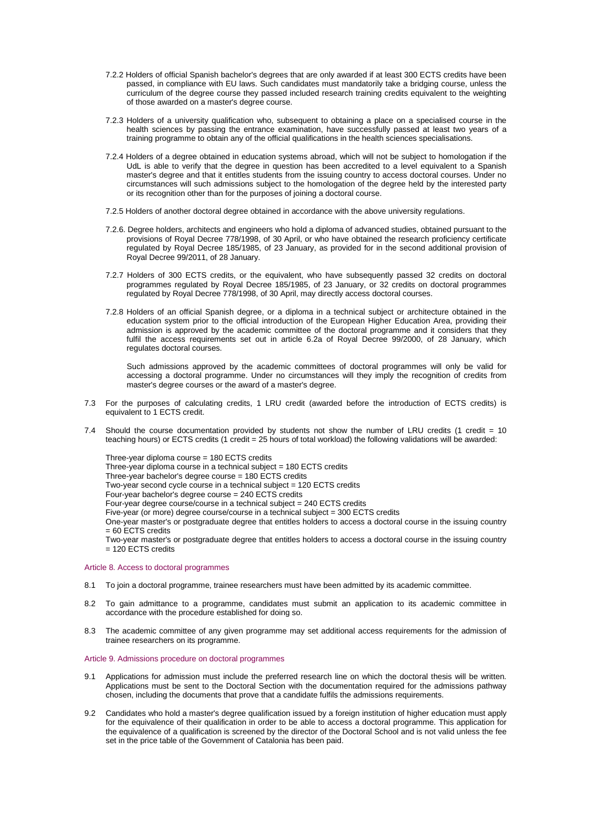- 7.2.2 Holders of official Spanish bachelor's degrees that are only awarded if at least 300 ECTS credits have been passed, in compliance with EU laws. Such candidates must mandatorily take a bridging course, unless the curriculum of the degree course they passed included research training credits equivalent to the weighting of those awarded on a master's degree course.
- 7.2.3 Holders of a university qualification who, subsequent to obtaining a place on a specialised course in the health sciences by passing the entrance examination, have successfully passed at least two years of a training programme to obtain any of the official qualifications in the health sciences specialisations.
- 7.2.4 Holders of a degree obtained in education systems abroad, which will not be subject to homologation if the UdL is able to verify that the degree in question has been accredited to a level equivalent to a Spanish master's degree and that it entitles students from the issuing country to access doctoral courses. Under no circumstances will such admissions subject to the homologation of the degree held by the interested party or its recognition other than for the purposes of joining a doctoral course.
- 7.2.5 Holders of another doctoral degree obtained in accordance with the above university regulations.
- 7.2.6. Degree holders, architects and engineers who hold a diploma of advanced studies, obtained pursuant to the provisions of Royal Decree 778/1998, of 30 April, or who have obtained the research proficiency certificate regulated by Royal Decree 185/1985, of 23 January, as provided for in the second additional provision of Royal Decree 99/2011, of 28 January.
- 7.2.7 Holders of 300 ECTS credits, or the equivalent, who have subsequently passed 32 credits on doctoral programmes regulated by Royal Decree 185/1985, of 23 January, or 32 credits on doctoral programmes regulated by Royal Decree 778/1998, of 30 April, may directly access doctoral courses.
- 7.2.8 Holders of an official Spanish degree, or a diploma in a technical subject or architecture obtained in the education system prior to the official introduction of the European Higher Education Area, providing their admission is approved by the academic committee of the doctoral programme and it considers that they fulfil the access requirements set out in article 6.2a of Royal Decree 99/2000, of 28 January, which regulates doctoral courses.

Such admissions approved by the academic committees of doctoral programmes will only be valid for accessing a doctoral programme. Under no circumstances will they imply the recognition of credits from master's degree courses or the award of a master's degree.

- 7.3 For the purposes of calculating credits, 1 LRU credit (awarded before the introduction of ECTS credits) is equivalent to 1 ECTS credit.
- 7.4 Should the course documentation provided by students not show the number of LRU credits (1 credit = 10 teaching hours) or ECTS credits (1 credit = 25 hours of total workload) the following validations will be awarded:

Three-year diploma course = 180 ECTS credits Three-year diploma course in a technical subject  $= 180$  ECTS credits Three-year bachelor's degree course = 180 ECTS credits Two-year second cycle course in a technical subject = 120 ECTS credits Four-year bachelor's degree course = 240 ECTS credits Four-year degree course/course in a technical subject = 240 ECTS credits Five-year (or more) degree course/course in a technical subject = 300 ECTS credits One-year master's or postgraduate degree that entitles holders to access a doctoral course in the issuing country = 60 ECTS credits Two-year master's or postgraduate degree that entitles holders to access a doctoral course in the issuing country  $= 120$  ECTS credits

## <span id="page-3-0"></span>Article 8. Access to doctoral programmes

- 8.1 To join a doctoral programme, trainee researchers must have been admitted by its academic committee.
- 8.2 To gain admittance to a programme, candidates must submit an application to its academic committee in accordance with the procedure established for doing so.
- 8.3 The academic committee of any given programme may set additional access requirements for the admission of trainee researchers on its programme.

### <span id="page-3-1"></span>Article 9. Admissions procedure on doctoral programmes

- 9.1 Applications for admission must include the preferred research line on which the doctoral thesis will be written. Applications must be sent to the Doctoral Section with the documentation required for the admissions pathway chosen, including the documents that prove that a candidate fulfils the admissions requirements.
- 9.2 Candidates who hold a master's degree qualification issued by a foreign institution of higher education must apply for the equivalence of their qualification in order to be able to access a doctoral programme. This application for the equivalence of a qualification is screened by the director of the Doctoral School and is not valid unless the fee set in the price table of the Government of Catalonia has been paid.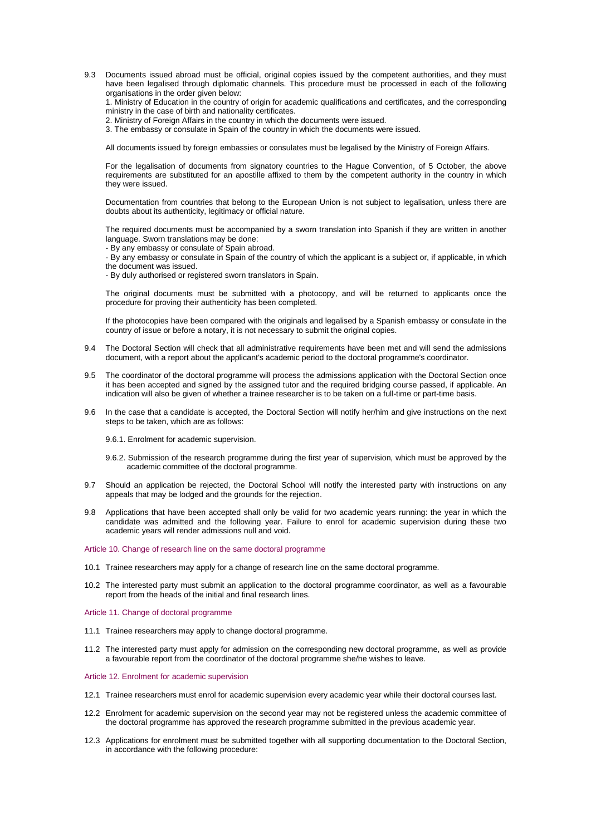9.3 Documents issued abroad must be official, original copies issued by the competent authorities, and they must have been legalised through diplomatic channels. This procedure must be processed in each of the following organisations in the order given below:

1. Ministry of Education in the country of origin for academic qualifications and certificates, and the corresponding ministry in the case of birth and nationality certificates.

2. Ministry of Foreign Affairs in the country in which the documents were issued.

3. The embassy or consulate in Spain of the country in which the documents were issued.

All documents issued by foreign embassies or consulates must be legalised by the Ministry of Foreign Affairs.

For the legalisation of documents from signatory countries to the Hague Convention, of 5 October, the above requirements are substituted for an apostille affixed to them by the competent authority in the country in which they were issued.

Documentation from countries that belong to the European Union is not subject to legalisation, unless there are doubts about its authenticity, legitimacy or official nature.

The required documents must be accompanied by a sworn translation into Spanish if they are written in another language. Sworn translations may be done:

- By any embassy or consulate of Spain abroad.

- By any embassy or consulate in Spain of the country of which the applicant is a subject or, if applicable, in which the document was issued.

- By duly authorised or registered sworn translators in Spain.

The original documents must be submitted with a photocopy, and will be returned to applicants once the procedure for proving their authenticity has been completed.

If the photocopies have been compared with the originals and legalised by a Spanish embassy or consulate in the country of issue or before a notary, it is not necessary to submit the original copies.

- 9.4 The Doctoral Section will check that all administrative requirements have been met and will send the admissions document, with a report about the applicant's academic period to the doctoral programme's coordinator.
- 9.5 The coordinator of the doctoral programme will process the admissions application with the Doctoral Section once it has been accepted and signed by the assigned tutor and the required bridging course passed, if applicable. An indication will also be given of whether a trainee researcher is to be taken on a full-time or part-time basis.
- 9.6 In the case that a candidate is accepted, the Doctoral Section will notify her/him and give instructions on the next steps to be taken, which are as follows:

9.6.1. Enrolment for academic supervision.

- 9.6.2. Submission of the research programme during the first year of supervision, which must be approved by the academic committee of the doctoral programme.
- 9.7 Should an application be rejected, the Doctoral School will notify the interested party with instructions on any appeals that may be lodged and the grounds for the rejection.
- 9.8 Applications that have been accepted shall only be valid for two academic years running: the year in which the candidate was admitted and the following year. Failure to enrol for academic supervision during these two academic years will render admissions null and void.

# <span id="page-4-0"></span>Article 10. Change of research line on the same doctoral programme

- 10.1 Trainee researchers may apply for a change of research line on the same doctoral programme.
- 10.2 The interested party must submit an application to the doctoral programme coordinator, as well as a favourable report from the heads of the initial and final research lines.

<span id="page-4-1"></span>Article 11. Change of doctoral programme

- 11.1 Trainee researchers may apply to change doctoral programme.
- 11.2 The interested party must apply for admission on the corresponding new doctoral programme, as well as provide a favourable report from the coordinator of the doctoral programme she/he wishes to leave.

## <span id="page-4-2"></span>Article 12. Enrolment for academic supervision

- 12.1 Trainee researchers must enrol for academic supervision every academic year while their doctoral courses last.
- 12.2 Enrolment for academic supervision on the second year may not be registered unless the academic committee of the doctoral programme has approved the research programme submitted in the previous academic year.
- 12.3 Applications for enrolment must be submitted together with all supporting documentation to the Doctoral Section, in accordance with the following procedure: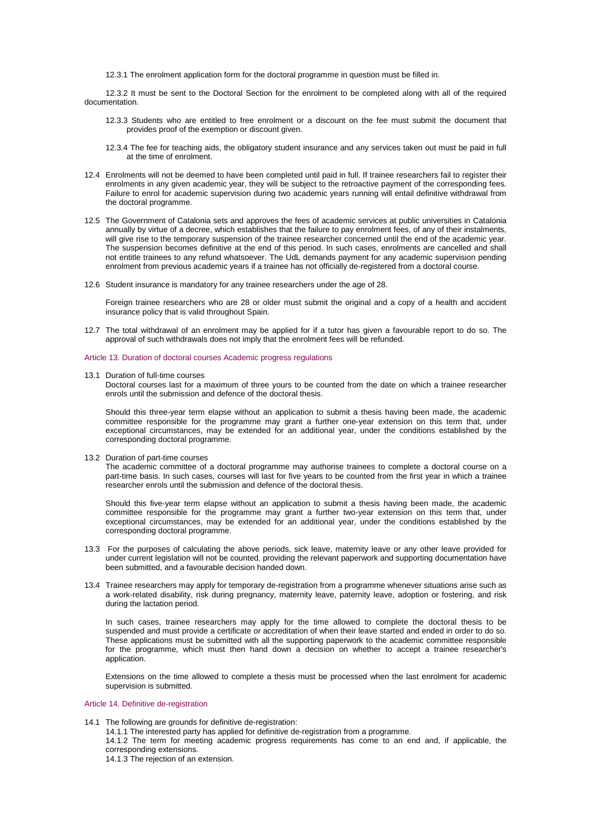12.3.1 The enrolment application form for the doctoral programme in questio[n must be f](http://www.udl.cat/export/sites/UdL/serveis/aga/DocumentsDoctorat/impresmatriculacatala.pdf)illed in.

12.3.2 It must be sent to the Doctoral Section for the enrolment to be completed along with all of the required documentation.

- 12.3.3 Students who are entitled to free enrolment or a discount on the fee must submit the document that provides proof of the exemption or discount given.
- 12.3.4 The fee for teaching aids, the obligatory student insurance and any services taken out must be paid in full at the time of enrolment.
- 12.4 Enrolments will not be deemed to have been completed until paid in full. If trainee researchers fail to register their enrolments in any given academic year, they will be subject to the retroactive payment of the corresponding fees. Failure to enrol for academic supervision during two academic years running will entail definitive withdrawal from the doctoral programme.
- 12.5 The Government of Catalonia sets and approves the fees of academic services at public universities in Catalonia annually by virtue of a decree, which establishes that the failure to pay enrolment fees, of any of their instalments, will give rise to the temporary suspension of the trainee researcher concerned until the end of the academic year. The suspension becomes definitive at the end of this period. In such cases, enrolments are cancelled and shall not entitle trainees to any refund whatsoever. The UdL demands payment for any academic supervision pending enrolment from previous academic years if a trainee has not officially de-registered from a doctoral course.
- 12.6 Student insurance is mandatory for any trainee researchers under the age of 28.

Foreign trainee researchers who are 28 or older must submit the original and a copy of a health and accident insurance policy that is valid throughout Spain.

- 12.7 The total withdrawal of an enrolment may be applied for if a tutor has given a favourable report to do so. The approval of such withdrawals does not imply that the enrolment fees will be refunded.
- <span id="page-5-0"></span>Article 13. Duration of doctoral courses Academic progress regulations
- 13.1 Duration of full-time courses

Doctoral courses last for a maximum of three yours to be counted from the date on which a trainee researcher enrols until the submission and defence of the doctoral thesis.

Should this three-year term elapse without an application to submit a thesis having been made, the academic committee responsible for the programme may grant a further one-year extension on this term that, under exceptional circumstances, may be extended for an additional year, under the conditions established by the corresponding doctoral programme.

13.2 Duration of part-time courses

The academic committee of a doctoral programme may authorise trainees to complete a doctoral course on a part-time basis. In such cases, courses will last for five years to be counted from the first year in which a trainee researcher enrols until the submission and defence of the doctoral thesis.

Should this five-year term elapse without an application to submit a thesis having been made, the academic committee responsible for the programme may grant a further two-year extension on this term that, under exceptional circumstances, may be extended for an additional year, under the conditions established by the corresponding doctoral programme.

- 13.3 For the purposes of calculating the above periods, sick leave, maternity leave or any other leave provided for under current legislation will not be counted, providing the relevant paperwork and supporting documentation have been submitted, and a favourable decision handed down.
- 13.4 Trainee researchers may apply for temporary de-registration from a programme whenever situations arise such as a work-related disability, risk during pregnancy, maternity leave, paternity leave, adoption or fostering, and risk during the lactation period.

In such cases, trainee researchers may apply for the time allowed to complete the doctoral thesis to be suspended and must provide a certificate or accreditation of when their leave started and ended in order to do so. These applications must be submitted with all the supporting paperwork to the academic committee responsible for the programme, which must then hand down a decision on whether to accept a trainee researcher's application.

Extensions on the time allowed to complete a thesis must be processed when the last enrolment for academic supervision is submitted.

### <span id="page-5-1"></span>Article 14. Definitive de-registration

14.1 The following are grounds for definitive de-registration:

14.1.1 The interested party has applied for definitive de-registration from a programme.

14.1.2 The term for meeting academic progress requirements has come to an end and, if applicable, the corresponding extensions.

14.1.3 The rejection of an extension.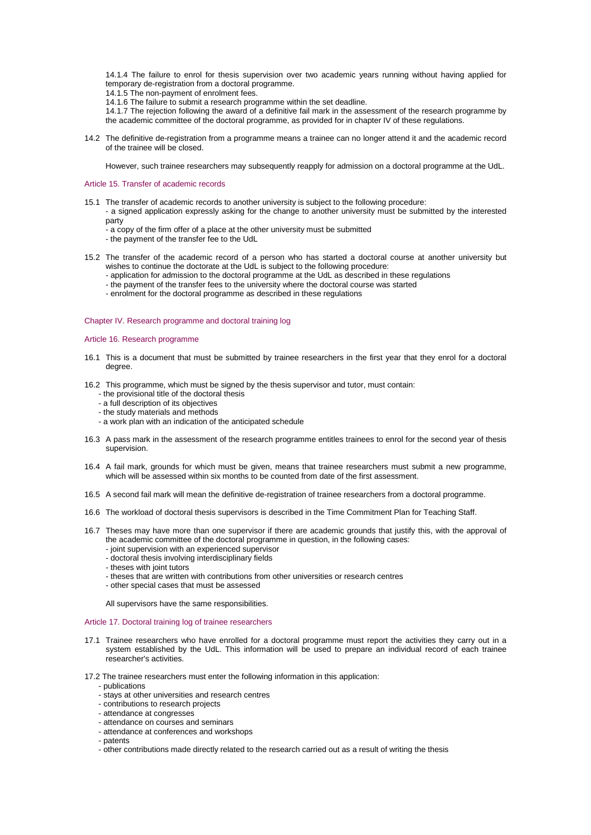14.1.4 The failure to enrol for thesis supervision over two academic years running without having applied for temporary de-registration from a doctoral programme.

- 14.1.5 The non-payment of enrolment fees.
- 14.1.6 The failure to submit a research programme within the set deadline.

14.1.7 The rejection following the award of a definitive fail mark in the assessment of the research programme by the academic committee of the doctoral programme, as provided for in chapter IV of these regulations.

14.2 The definitive de-registration from a programme means a trainee can no longer attend it and the academic record of the trainee will be closed.

However, such trainee researchers may subsequently reapply for admission on a doctoral programme at the UdL.

### <span id="page-6-0"></span>Article 15. Transfer of academic records

- 15.1 The transfer of academic records to another university is subject to the following procedure: - a signed application expressly asking for the change to another university must be submitted by the interested party
	- a copy of the firm offer of a place at the other university must be submitted
	- the payment of the transfer fee to the UdL
- 15.2 The transfer of the academic record of a person who has started a doctoral course at another university but wishes to continue the doctorate at the UdL is subject to the following procedure:
	- application for admission to the doctoral programme at the UdL as described in these regulations
	- the payment of the transfer fees to the university where the doctoral course was started
	- enrolment for the doctoral programme as described in these regulations

# <span id="page-6-1"></span>Chapter IV. Research programme and doctoral training log

### <span id="page-6-2"></span>Article 16. Research programme

- 16.1 This is a document that must be submitted by trainee researchers in the first year that they enrol for a doctoral degree.
- 16.2 This programme, which must be signed by the thesis supervisor and tutor, must contain:
	- the provisional title of the doctoral thesis
	- a full description of its objectives
	- the study materials and methods
	- a work plan with an indication of the anticipated schedule
- 16.3 A pass mark in the assessment of the research programme entitles trainees to enrol for the second year of thesis supervision.
- 16.4 A fail mark, grounds for which must be given, means that trainee researchers must submit a new programme, which will be assessed within six months to be counted from date of the first assessment.
- 16.5 A second fail mark will mean the definitive de-registration of trainee researchers from a doctoral programme.
- 16.6 The workload of doctoral thesis supervisors is described in the Time Commitment Plan for Teaching Staff.
- 16.7 Theses may have more than one supervisor if there are academic grounds that justify this, with the approval of the academic committee of the doctoral programme in question, in the following cases:
	- joint supervision with an experienced supervisor
	- doctoral thesis involving interdisciplinary fields
	- theses with joint tutors
	- theses that are written with contributions from other universities or research centres
	- other special cases that must be assessed

All supervisors have the same responsibilities.

## <span id="page-6-3"></span>Article 17. Doctoral training log of trainee researchers

- 17.1 Trainee researchers who have enrolled for a doctoral programme must report the activities they carry out in a system established by the UdL. This information will be used to prepare an individual record of each trainee researcher's activities.
- 17.2 The trainee researchers must enter the following information in this application:
	- publications
	- stays at other universities and research centres
	- contributions to research projects
	- attendance at congresses
	- attendance on courses and seminars
	- attendance at conferences and workshops
	- patents
	- other contributions made directly related to the research carried out as a result of writing the thesis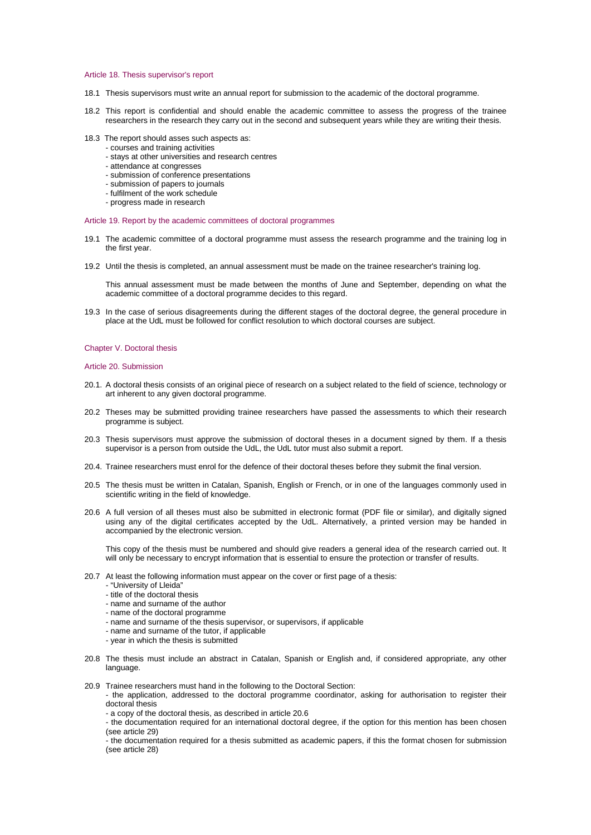### <span id="page-7-0"></span>Article 18. Thesis supervisor's report

- 18.1 Thesis supervisors must write an annual report for submission to the academic of the doctoral programme.
- 18.2 This report is confidential and should enable the academic committee to assess the progress of the trainee researchers in the research they carry out in the second and subsequent years while they are writing their thesis.
- 18.3 The report should asses such aspects as:
	- courses and training activities
	- stays at other universities and research centres
	- attendance at congresses
	- submission of conference presentations
	- submission of papers to journals
	- fulfilment of the work schedule
	- progress made in research

### <span id="page-7-1"></span>Article 19. Report by the academic committees of doctoral programmes

- 19.1 The academic committee of a doctoral programme must assess the research programme and the training log in the first year.
- 19.2 Until the thesis is completed, an annual assessment must be made on the trainee researcher's training log.

This annual assessment must be made between the months of June and September, depending on what the academic committee of a doctoral programme decides to this regard.

19.3 In the case of serious disagreements during the different stages of the doctoral degree, the general procedure in place at the UdL must be followed for conflict resolution to which doctoral courses are subject.

## <span id="page-7-2"></span>Chapter V. Doctoral thesis

<span id="page-7-3"></span>Article 20. Submission

- 20.1. A doctoral thesis consists of an original piece of research on a subject related to the field of science, technology or art inherent to any given doctoral programme.
- 20.2 Theses may be submitted providing trainee researchers have passed the assessments to which their research programme is subject.
- 20.3 Thesis supervisors must approve the submission of doctoral theses in a document signed by them. If a thesis supervisor is a person from outside the UdL, the UdL tutor must also submit a report.
- 20.4. Trainee researchers must enrol for the defence of their doctoral theses before they submit the final version.
- 20.5 The thesis must be written in Catalan, Spanish, English or French, or in one of the languages commonly used in scientific writing in the field of knowledge.
- 20.6 A full version of all theses must also be submitted in electronic format (PDF file or similar), and digitally signed using any of the digital certificates accepted by the UdL. Alternatively, a printed version may be handed in accompanied by the electronic version.

This copy of the thesis must be numbered and should give readers a general idea of the research carried out. It will only be necessary to encrypt information that is essential to ensure the protection or transfer of results.

- 20.7 At least the following information must appear on the cover or first page of a thesis:
	- "University of Lleida"
	- title of the doctoral thesis
	- name and surname of the author
	- name of the doctoral programme
	- name and surname of the thesis supervisor, or supervisors, if applicable
	- name and surname of the tutor, if applicable
	- year in which the thesis is submitted
- 20.8 The thesis must include an abstract in Catalan, Spanish or English and, if considered appropriate, any other language.
- 20.9 Trainee researchers must hand in the following to the Doctoral Section:
	- the application, addressed to the doctoral programme coordinator, asking for authorisation to register their doctoral thesis
	- a copy of the doctoral thesis, as described in article 20.6
	- the documentation required for an international doctoral degree, if the option for this mention has been chosen (see article 29)
	- the documentation required for a thesis submitted as academic papers, if this the format chosen for submission (see article 28)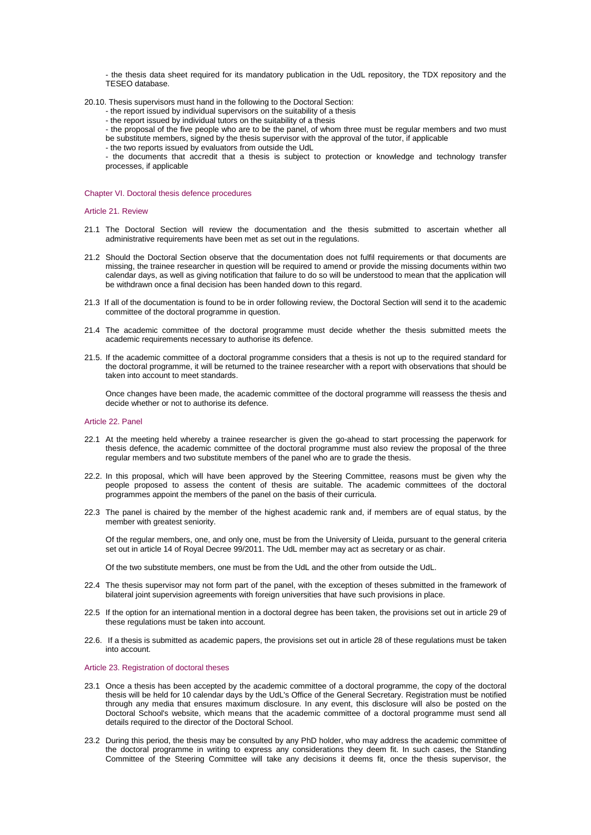- the thesis data sheet required for its mandatory publication in the UdL repository, the TDX repository and the TESEO database.

- 20.10. Thesis supervisors must hand in the following to the Doctoral Section:
	- the report issued by individual supervisors on the suitability of a thesis
	- the report issued by individual tutors on the suitability of a thesis
	- the proposal of the five people who are to be the panel, of whom three must be regular members and two must
	- be substitute members, signed by the thesis supervisor with the approval of the tutor, if applicable
	- the two reports issued by evaluators from outside the UdL

- the documents that accredit that a thesis is subject to protection or knowledge and technology transfer processes, if applicable

<span id="page-8-0"></span>Chapter VI. Doctoral thesis defence procedures

# <span id="page-8-1"></span>Article 21. Review

- 21.1 The Doctoral Section will review the documentation and the thesis submitted to ascertain whether all administrative requirements have been met as set out in the regulations.
- 21.2 Should the Doctoral Section observe that the documentation does not fulfil requirements or that documents are missing, the trainee researcher in question will be required to amend or provide the missing documents within two calendar days, as well as giving notification that failure to do so will be understood to mean that the application will be withdrawn once a final decision has been handed down to this regard.
- 21.3 If all of the documentation is found to be in order following review, the Doctoral Section will send it to the academic committee of the doctoral programme in question.
- 21.4 The academic committee of the doctoral programme must decide whether the thesis submitted meets the academic requirements necessary to authorise its defence.
- 21.5. If the academic committee of a doctoral programme considers that a thesis is not up to the required standard for the doctoral programme, it will be returned to the trainee researcher with a report with observations that should be taken into account to meet standards.

Once changes have been made, the academic committee of the doctoral programme will reassess the thesis and decide whether or not to authorise its defence.

## <span id="page-8-2"></span>Article 22. Panel

- 22.1 At the meeting held whereby a trainee researcher is given the go-ahead to start processing the paperwork for thesis defence, the academic committee of the doctoral programme must also review the proposal of the three regular members and two substitute members of the panel who are to grade the thesis.
- 22.2. In this proposal, which will have been approved by the Steering Committee, reasons must be given why the people proposed to assess the content of thesis are suitable. The academic committees of the doctoral programmes appoint the members of the panel on the basis of their curricula.
- 22.3 The panel is chaired by the member of the highest academic rank and, if members are of equal status, by the member with greatest seniority.

Of the regular members, one, and only one, must be from the University of Lleida, pursuant to the general criteria set out in article 14 of Royal Decree 99/2011. The UdL member may act as secretary or as chair.

Of the two substitute members, one must be from the UdL and the other from outside the UdL.

- 22.4 The thesis supervisor may not form part of the panel, with the exception of theses submitted in the framework of bilateral joint supervision agreements with foreign universities that have such provisions in place.
- 22.5 If the option for an international mention in a doctoral degree has been taken, the provisions set out in article 29 of these regulations must be taken into account.
- 22.6. If a thesis is submitted as academic papers, the provisions set out in article 28 of these regulations must be taken into account.

# <span id="page-8-3"></span>Article 23. Registration of doctoral theses

- 23.1 Once a thesis has been accepted by the academic committee of a doctoral programme, the copy of the doctoral thesis will be held for 10 calendar days by the UdL's Office of the General Secretary. Registration must be notified through any media that ensures maximum disclosure. In any event, this disclosure will also be posted on the Doctoral School's website, which means that the academic committee of a doctoral programme must send all details required to the director of the Doctoral School.
- 23.2 During this period, the thesis may be consulted by any PhD holder, who may address the academic committee of the doctoral programme in writing to express any considerations they deem fit. In such cases, the Standing Committee of the Steering Committee will take any decisions it deems fit, once the thesis supervisor, the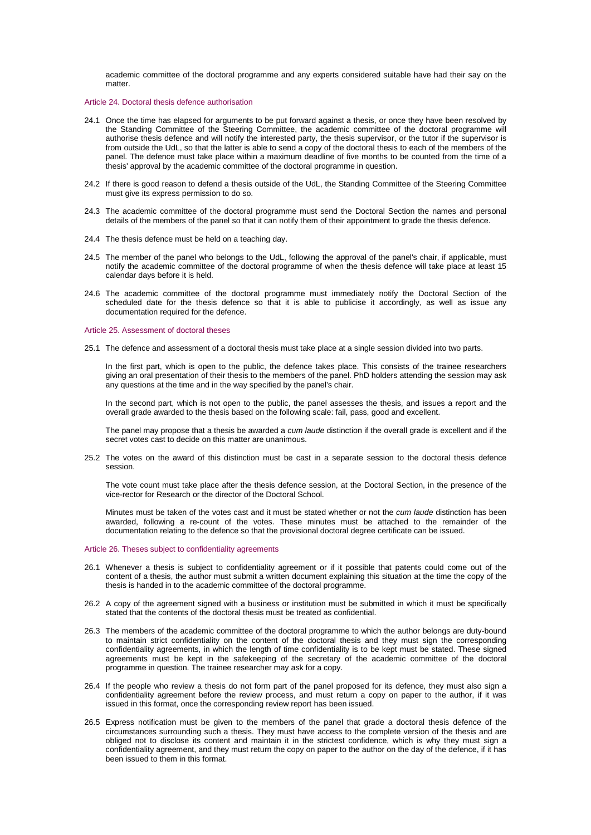academic committee of the doctoral programme and any experts considered suitable have had their say on the matter.

## <span id="page-9-0"></span>Article 24. Doctoral thesis defence authorisation

- 24.1 Once the time has elapsed for arguments to be put forward against a thesis, or once they have been resolved by the Standing Committee of the Steering Committee, the academic committee of the doctoral programme will authorise thesis defence and will notify the interested party, the thesis supervisor, or the tutor if the supervisor is from outside the UdL, so that the latter is able to send a copy of the doctoral thesis to each of the members of the panel. The defence must take place within a maximum deadline of five months to be counted from the time of a thesis' approval by the academic committee of the doctoral programme in question.
- 24.2 If there is good reason to defend a thesis outside of the UdL, the Standing Committee of the Steering Committee must give its express permission to do so.
- 24.3 The academic committee of the doctoral programme must send the Doctoral Section the names and personal details of the members of the panel so that it can notify them of their appointment to grade the thesis defence.
- 24.4 The thesis defence must be held on a teaching day.
- 24.5 The member of the panel who belongs to the UdL, following the approval of the panel's chair, if applicable, must notify the academic committee of the doctoral programme of when the thesis defence will take place at least 15 calendar days before it is held.
- 24.6 The academic committee of the doctoral programme must immediately notify the Doctoral Section of the scheduled date for the thesis defence so that it is able to publicise it accordingly, as well as issue any documentation required for the defence.

### <span id="page-9-1"></span>Article 25. Assessment of doctoral theses

25.1 The defence and assessment of a doctoral thesis must take place at a single session divided into two parts.

In the first part, which is open to the public, the defence takes place. This consists of the trainee researchers giving an oral presentation of their thesis to the members of the panel. PhD holders attending the session may ask any questions at the time and in the way specified by the panel's chair.

In the second part, which is not open to the public, the panel assesses the thesis, and issues a report and the overall grade awarded to the thesis based on the following scale: fail, pass, good and excellent.

The panel may propose that a thesis be awarded a *cum laude* distinction if the overall grade is excellent and if the secret votes cast to decide on this matter are unanimous.

25.2 The votes on the award of this distinction must be cast in a separate session to the doctoral thesis defence session.

The vote count must take place after the thesis defence session, at the Doctoral Section, in the presence of the vice-rector for Research or the director of the Doctoral School.

Minutes must be taken of the votes cast and it must be stated whether or not the *cum laude* distinction has been awarded, following a re-count of the votes. These minutes must be attached to the remainder of the documentation relating to the defence so that the provisional doctoral degree certificate can be issued.

# <span id="page-9-2"></span>Article 26. Theses subject to confidentiality agreements

- 26.1 Whenever a thesis is subject to confidentiality agreement or if it possible that patents could come out of the content of a thesis, the author must submit a written document explaining this situation at the time the copy of the thesis is handed in to the academic committee of the doctoral programme.
- 26.2 A copy of the agreement signed with a business or institution must be submitted in which it must be specifically stated that the contents of the doctoral thesis must be treated as confidential.
- 26.3 The members of the academic committee of the doctoral programme to which the author belongs are duty-bound to maintain strict confidentiality on the content of the doctoral thesis and they must sign the corresponding confidentiality agreements, in which the length of time confidentiality is to be kept must be stated. These signed agreements must be kept in the safekeeping of the secretary of the academic committee of the doctoral programme in question. The trainee researcher may ask for a copy.
- 26.4 If the people who review a thesis do not form part of the panel proposed for its defence, they must also sign a confidentiality agreement before the review process, and must return a copy on paper to the author, if it was issued in this format, once the corresponding review report has been issued.
- 26.5 Express notification must be given to the members of the panel that grade a doctoral thesis defence of the circumstances surrounding such a thesis. They must have access to the complete version of the thesis and are obliged not to disclose its content and maintain it in the strictest confidence, which is why they must sign a confidentiality agreement, and they must return the copy on paper to the author on the day of the defence, if it has been issued to them in this format.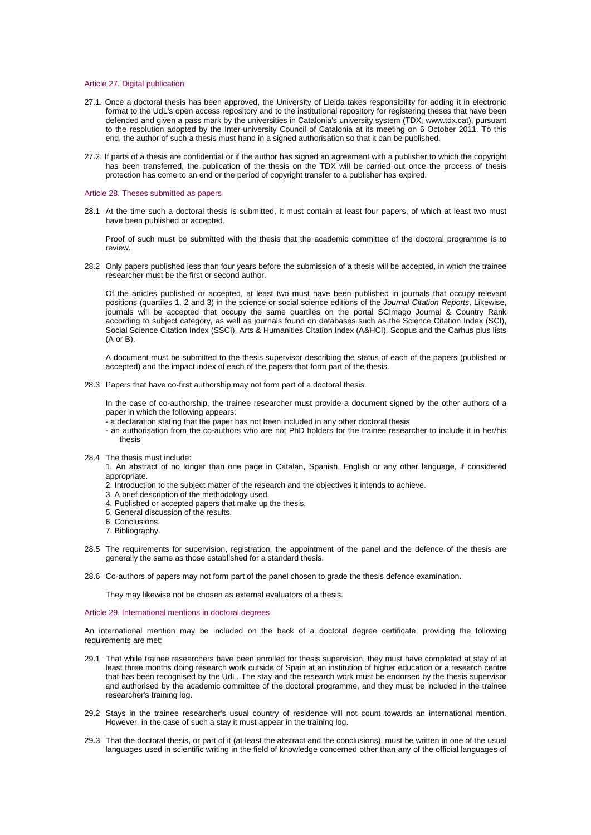## <span id="page-10-0"></span>Article 27. Digital publication

- 27.1. Once a doctoral thesis has been approved, the University of Lleida takes responsibility for adding it in electronic format to the UdL's open access repository and to the institutional repository for registering theses that have been defended and given a pass mark by the universities in Catalonia's university system (TDX, [www.tdx.cat\)](http://www.tdx.cat/), pursuant to the resolution adopted by the Inter-university Council of Catalonia at its meeting on 6 October 2011. To this end, the author of such a thesis must hand in a signed authorisation so that it can be published.
- 27.2. If parts of a thesis are confidential or if the author has signed an agreement with a publisher to which the copyright has been transferred, the publication of the thesis on the TDX will be carried out once the process of thesis protection has come to an end or the period of copyright transfer to a publisher has expired.

#### <span id="page-10-1"></span>Article 28. Theses submitted as papers

28.1 At the time such a doctoral thesis is submitted, it must contain at least four papers, of which at least two must have been published or accepted.

Proof of such must be submitted with the thesis that the academic committee of the doctoral programme is to review.

28.2 Only papers published less than four years before the submission of a thesis will be accepted, in which the trainee researcher must be the first or second author.

Of the articles published or accepted, at least two must have been published in journals that occupy relevant positions (quartiles 1, 2 and 3) in the science or social science editions of the *Journal Citation Reports*. Likewise, journals will be accepted that occupy the same quartiles on the portal SCImago Journal & Country Rank according to subject category, as well as journals found on databases such as the Science Citation Index (SCI), Social Science Citation Index (SSCI), Arts & Humanities Citation Index (A&HCI), Scopus and the Carhus plus lists (A or B).

A document must be submitted to the thesis supervisor describing the status of each of the papers (published or accepted) and the impact index of each of the papers that form part of the thesis.

28.3 Papers that have co-first authorship may not form part of a doctoral thesis.

In the case of co-authorship, the trainee researcher must provide a document signed by the other authors of a paper in which the following appears:

- a declaration stating that the paper has not been included in any other doctoral thesis
- an authorisation from the co-authors who are not PhD holders for the trainee researcher to include it in her/his thesis
- 28.4 The thesis must include:
	- 1. An abstract of no longer than one page in Catalan, Spanish, English or any other language, if considered appropriate.
	- 2. Introduction to the subject matter of the research and the objectives it intends to achieve.
	- 3. A brief description of the methodology used.
	- 4. Published or accepted papers that make up the thesis.
	- 5. General discussion of the results.
	- 6. Conclusions.
	- 7. Bibliography.
- 28.5 The requirements for supervision, registration, the appointment of the panel and the defence of the thesis are generally the same as those established for a standard thesis.
- 28.6 Co-authors of papers may not form part of the panel chosen to grade the thesis defence examination.

They may likewise not be chosen as external evaluators of a thesis.

# <span id="page-10-2"></span>Article 29. International mentions in doctoral degrees

An international mention may be included on the back of a doctoral degree certificate, providing the following requirements are met:

- 29.1 That while trainee researchers have been enrolled for thesis supervision, they must have completed at stay of at least three months doing research work outside of Spain at an institution of higher education or a research centre that has been recognised by the UdL. The stay and the research work must be endorsed by the thesis supervisor and authorised by the academic committee of the doctoral programme, and they must be included in the trainee researcher's training log.
- 29.2 Stays in the trainee researcher's usual country of residence will not count towards an international mention. However, in the case of such a stay it must appear in the training log.
- 29.3 That the doctoral thesis, or part of it (at least the abstract and the conclusions), must be written in one of the usual languages used in scientific writing in the field of knowledge concerned other than any of the official languages of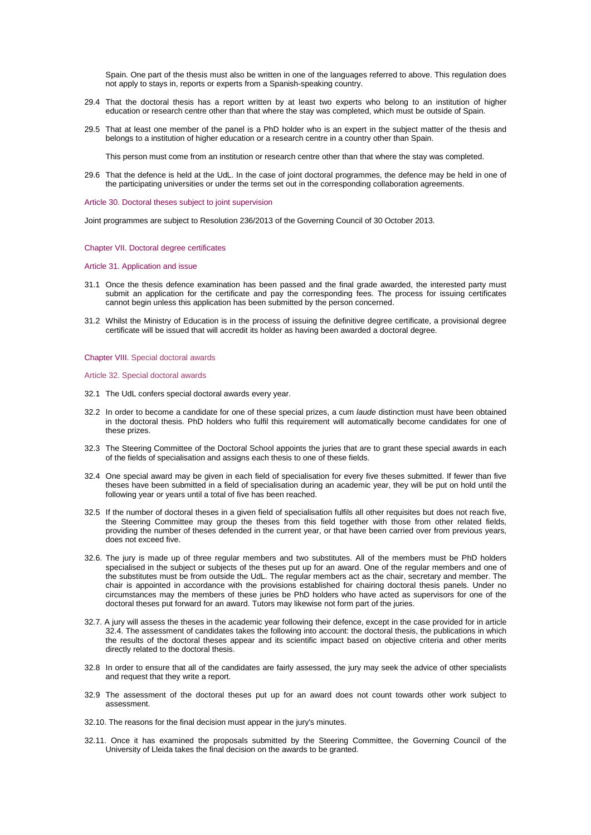Spain. One part of the thesis must also be written in one of the languages referred to above. This regulation does not apply to stays in, reports or experts from a Spanish-speaking country.

- 29.4 That the doctoral thesis has a report written by at least two experts who belong to an institution of higher education or research centre other than that where the stay was completed, which must be outside of Spain.
- 29.5 That at least one member of the panel is a PhD holder who is an expert in the subject matter of the thesis and belongs to a institution of higher education or a research centre in a country other than Spain.

This person must come from an institution or research centre other than that where the stay was completed.

29.6 That the defence is held at the UdL. In the case of joint doctoral programmes, the defence may be held in one of the participating universities or under the terms set out in the corresponding collaboration agreements.

<span id="page-11-0"></span>Article 30. Doctoral theses subject to joint supervision

Joint programmes are subject to Resolution 236/2013 of the Governing Council of 30 October 2013.

## <span id="page-11-1"></span>Chapter VII. Doctoral degree certificates

### <span id="page-11-2"></span>Article 31. Application and issue

- 31.1 Once the thesis defence examination has been passed and the final grade awarded, the interested party must submit an application for the certificate and pay the corresponding fees. The process for issuing certificates cannot begin unless this application has been submitted by the person concerned.
- 31.2 Whilst the Ministry of Education is in the process of issuing the definitive degree certificate, a provisional degree certificate will be issued that will accredit its holder as having been awarded a doctoral degree.

### <span id="page-11-3"></span>Chapter VIII. Special doctoral awards

<span id="page-11-4"></span>Article 32. Special doctoral awards

- 32.1 The UdL confers special doctoral awards every year.
- 32.2 In order to become a candidate for one of these special prizes, a cum *laude* distinction must have been obtained in the doctoral thesis. PhD holders who fulfil this requirement will automatically become candidates for one of these prizes.
- 32.3 The Steering Committee of the Doctoral School appoints the juries that are to grant these special awards in each of the fields of specialisation and assigns each thesis to one of these fields.
- 32.4 One special award may be given in each field of specialisation for every five theses submitted. If fewer than five theses have been submitted in a field of specialisation during an academic year, they will be put on hold until the following year or years until a total of five has been reached.
- 32.5 If the number of doctoral theses in a given field of specialisation fulfils all other requisites but does not reach five, the Steering Committee may group the theses from this field together with those from other related fields, providing the number of theses defended in the current year, or that have been carried over from previous years, does not exceed five.
- 32.6. The jury is made up of three regular members and two substitutes. All of the members must be PhD holders specialised in the subject or subjects of the theses put up for an award. One of the regular members and one of the substitutes must be from outside the UdL. The regular members act as the chair, secretary and member. The chair is appointed in accordance with the provisions established for chairing doctoral thesis panels. Under no circumstances may the members of these juries be PhD holders who have acted as supervisors for one of the doctoral theses put forward for an award. Tutors may likewise not form part of the juries.
- 32.7. A jury will assess the theses in the academic year following their defence, except in the case provided for in article 32.4. The assessment of candidates takes the following into account: the doctoral thesis, the publications in which the results of the doctoral theses appear and its scientific impact based on objective criteria and other merits directly related to the doctoral thesis.
- 32.8 In order to ensure that all of the candidates are fairly assessed, the jury may seek the advice of other specialists and request that they write a report.
- 32.9 The assessment of the doctoral theses put up for an award does not count towards other work subject to assessment.
- 32.10. The reasons for the final decision must appear in the jury's minutes.
- 32.11. Once it has examined the proposals submitted by the Steering Committee, the Governing Council of the University of Lleida takes the final decision on the awards to be granted.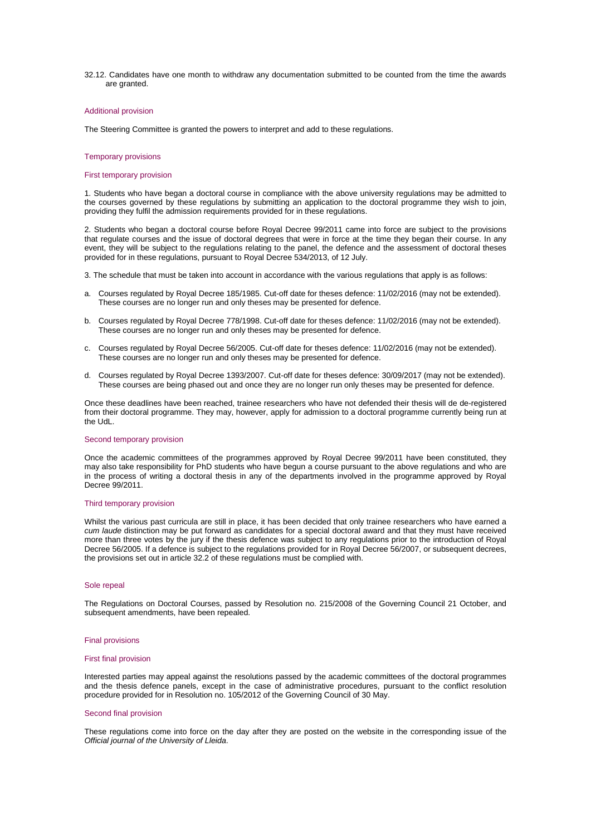32.12. Candidates have one month to withdraw any documentation submitted to be counted from the time the awards are granted.

#### <span id="page-12-0"></span>Additional provision

The Steering Committee is granted the powers to interpret and add to these regulations.

#### <span id="page-12-1"></span>Temporary provisions

#### First temporary provision

1. Students who have began a doctoral course in compliance with the above university regulations may be admitted to the courses governed by these regulations by submitting an application to the doctoral programme they wish to join, providing they fulfil the admission requirements provided for in these regulations.

2. Students who began a doctoral course before Royal Decree 99/2011 came into force are subject to the provisions that regulate courses and the issue of doctoral degrees that were in force at the time they began their course. In any event, they will be subject to the regulations relating to the panel, the defence and the assessment of doctoral theses provided for in these regulations, pursuant to Royal Decree 534/2013, of 12 July.

- 3. The schedule that must be taken into account in accordance with the various regulations that apply is as follows:
- a. Courses regulated by Royal Decree 185/1985. Cut-off date for theses defence: 11/02/2016 (may not be extended). These courses are no longer run and only theses may be presented for defence.
- b. Courses regulated by Royal Decree 778/1998. Cut-off date for theses defence: 11/02/2016 (may not be extended). These courses are no longer run and only theses may be presented for defence.
- c. Courses regulated by Royal Decree 56/2005. Cut-off date for theses defence: 11/02/2016 (may not be extended). These courses are no longer run and only theses may be presented for defence.
- d. Courses regulated by Royal Decree 1393/2007. Cut-off date for theses defence: 30/09/2017 (may not be extended). These courses are being phased out and once they are no longer run only theses may be presented for defence.

Once these deadlines have been reached, trainee researchers who have not defended their thesis will de de-registered from their doctoral programme. They may, however, apply for admission to a doctoral programme currently being run at the UdL.

### Second temporary provision

Once the academic committees of the programmes approved by Royal Decree 99/2011 have been constituted, they may also take responsibility for PhD students who have begun a course pursuant to the above regulations and who are in the process of writing a doctoral thesis in any of the departments involved in the programme approved by Royal Decree 99/2011.

### Third temporary provision

Whilst the various past curricula are still in place, it has been decided that only trainee researchers who have earned a *cum laude* distinction may be put forward as candidates for a special doctoral award and that they must have received more than three votes by the jury if the thesis defence was subject to any regulations prior to the introduction of Royal Decree 56/2005. If a defence is subject to the regulations provided for in Royal Decree 56/2007, or subsequent decrees, the provisions set out in article 32.2 of these regulations must be complied with.

## <span id="page-12-2"></span>Sole repeal

The Regulations on Doctoral Courses, passed by Resolution no. 215/2008 of the Governing Council 21 October, and subsequent amendments, have been repealed.

#### <span id="page-12-3"></span>Final provisions

#### First final provision

Interested parties may appeal against the resolutions passed by the academic committees of the doctoral programmes and the thesis defence panels, except in the case of administrative procedures, pursuant to the conflict resolution procedure provided for in Resolution no. 105/2012 of the Governing Council of 30 May.

### Second final provision

These regulations come into force on the day after they are posted on the website in the corresponding issue of the *Official journal of the University of Lleida*.